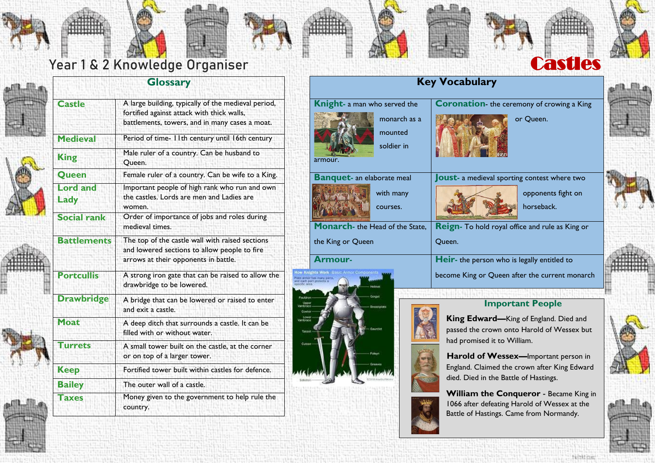



# Year 1 & 2 Knowledge Organiser Castles

















### **Glossary**

| <b>Castle</b>           | A large building, typically of the medieval period,<br>fortified against attack with thick walls,<br>battlements, towers, and in many cases a moat. |  |
|-------------------------|-----------------------------------------------------------------------------------------------------------------------------------------------------|--|
| <b>Medieval</b>         | Period of time- I I th century until 16th century                                                                                                   |  |
| <b>King</b>             | Male ruler of a country. Can be husband to<br>Queen.                                                                                                |  |
| Queen                   | Female ruler of a country. Can be wife to a King.                                                                                                   |  |
| <b>Lord</b> and<br>Lady | Important people of high rank who run and own<br>the castles. Lords are men and Ladies are<br>women.                                                |  |
| <b>Social rank</b>      | Order of importance of jobs and roles during<br>medieval times.                                                                                     |  |
| <b>Battlements</b>      | The top of the castle wall with raised sections<br>and lowered sections to allow people to fire<br>arrows at their opponents in battle.             |  |
| <b>Portcullis</b>       | A strong iron gate that can be raised to allow the<br>drawbridge to be lowered.                                                                     |  |
| <b>Drawbridge</b>       | A bridge that can be lowered or raised to enter<br>and exit a castle.                                                                               |  |
| Moat                    | A deep ditch that surrounds a castle. It can be<br>filled with or without water.                                                                    |  |
| <b>Turrets</b>          | A small tower built on the castle, at the corner<br>or on top of a larger tower.                                                                    |  |
| <b>Keep</b>             | Fortified tower built within castles for defence.                                                                                                   |  |
| <b>Bailey</b>           | The outer wall of a castle.                                                                                                                         |  |
| <b>Taxes</b>            | Money given to the government to help rule the<br>country.                                                                                          |  |







# **Key Vocabulary**

| <b>Knight-</b> a man who served the                 |                                   | <b>Coronation-</b> the ceremony of crowing a King      |
|-----------------------------------------------------|-----------------------------------|--------------------------------------------------------|
|                                                     | monarch as a                      | or Queen.                                              |
|                                                     | mounted                           |                                                        |
|                                                     | soldier in                        |                                                        |
|                                                     | armour.                           |                                                        |
|                                                     | <b>Banquet-</b> an elaborate meal | <b>Joust-</b> a medieval sporting contest where two    |
|                                                     | with many                         | opponents fight on                                     |
|                                                     | courses.                          | horseback.                                             |
|                                                     | Monarch- the Head of the State,   | <b>Reign-</b> To hold royal office and rule as King or |
|                                                     | the King or Queen                 | Queen.                                                 |
|                                                     | Armour-                           | <b>Heir-</b> the person who is legally entitled to     |
| nights Work Basic Armor Components<br><b>Helmet</b> |                                   | become King or Queen after the current monarch         |
|                                                     | Gorget                            |                                                        |



### **Important People**

**King Edward—**King of England. Died and passed the crown onto Harold of Wessex but had promised it to William.

**Harold of Wessex—**Important person in England. Claimed the crown after King Edward died. Died in the Battle of Hastings.

**William the Conqueror** - Became King in 1066 after defeating Harold of Wessex at the Battle of Hastings. Came from Normandy.





inthe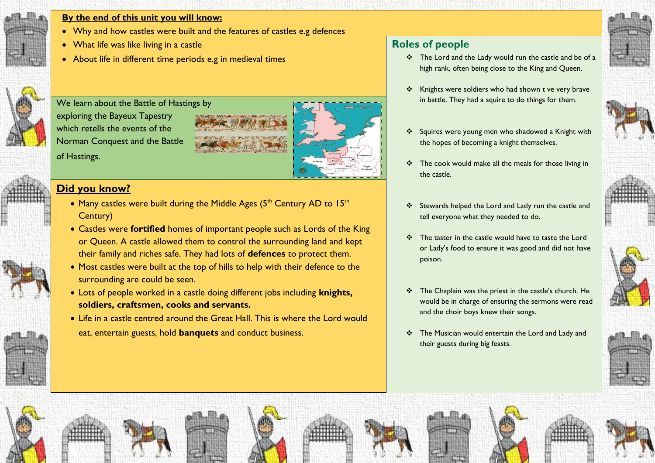

#### **By the end of this unit you will know:**

- Why and how castles were built and the features of castles e.g defences
- What life was like living in a castle
- About life in different time periods e.g in medieval times

We learn about the Battle of Hastings by exploring the Bayeux Tapestry which retells the events of the Norman Conquest and the Battle of Hastings.

### **Did you know?**

- Many castles were built during the Middle Ages  $(5<sup>th</sup>$  Century AD to  $15<sup>th</sup>$ Century)
- Castles were **fortified** homes of important people such as Lords of the King or Queen. A castle allowed them to control the surrounding land and kept their family and riches safe. They had lots of **defences** to protect them.
- Most castles were built at the top of hills to help with their defence to the surrounding are could be seen.
- Lots of people worked in a castle doing different jobs including **knights, soldiers, craftsmen, cooks and servants.**
- Life in a castle centred around the Great Hall. This is where the Lord would eat, entertain guests, hold **banquets** and conduct business.

# **Roles of people**

- \* The Lord and the Lady would run the castle and be of a high rank, often being close to the King and Queen.
- Knights were soldiers who had shown t ve very brave in battle. They had a squire to do things for them.
- Squires were young men who shadowed a Knight with the hopes of becoming a knight themselves.
- $\cdot \cdot$  The cook would make all the meals for those living in the castle.
- Stewards helped the Lord and Lady run the castle and tell everyone what they needed to do.
- $\div$  The taster in the castle would have to taste the Lord or Lady's food to ensure it was good and did not have poison.
- \* The Chaplain was the priest in the castle's church. He would be in charge of ensuring the sermons were read and the choir boys knew their songs.
- \* The Musician would entertain the Lord and Lady and their guests during big feasts.